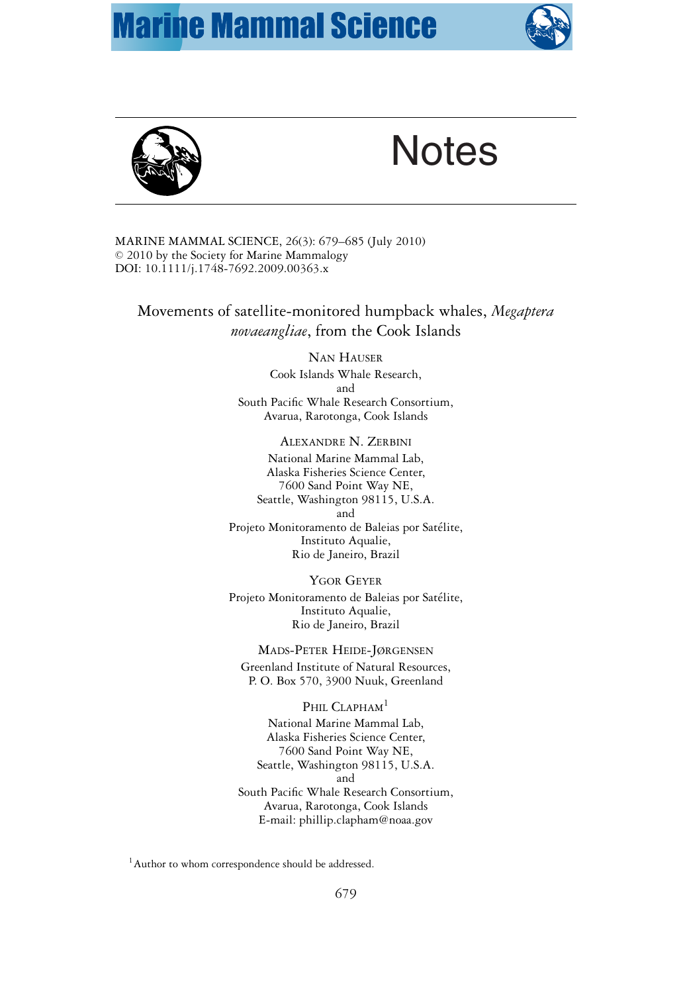## **Marine Mammal Science**





## **Notes**

MARINE MAMMAL SCIENCE, 26(3): 679–685 (July 2010)  $© 2010$  by the Society for Marine Mammalogy DOI: 10.1111/j.1748-7692.2009.00363.x

Movements of satellite-monitored humpback whales, *Megaptera novaeangliae*, from the Cook Islands

> NAN HAUSER Cook Islands Whale Research, and South Pacific Whale Research Consortium, Avarua, Rarotonga, Cook Islands

ALEXANDRE N. ZERBINI National Marine Mammal Lab, Alaska Fisheries Science Center, 7600 Sand Point Way NE, Seattle, Washington 98115, U.S.A. and Projeto Monitoramento de Baleias por Satélite, Instituto Aqualie, Rio de Janeiro, Brazil

YGOR GEYER Projeto Monitoramento de Baleias por Satélite, Instituto Aqualie, Rio de Janeiro, Brazil

MADS-PETER HEIDE-JØRGENSEN Greenland Institute of Natural Resources, P. O. Box 570, 3900 Nuuk, Greenland

PHIL CLAPHAM<sup>1</sup>

National Marine Mammal Lab, Alaska Fisheries Science Center, 7600 Sand Point Way NE, Seattle, Washington 98115, U.S.A. and South Pacific Whale Research Consortium, Avarua, Rarotonga, Cook Islands E-mail: phillip.clapham@noaa.gov

<sup>&</sup>lt;sup>1</sup> Author to whom correspondence should be addressed.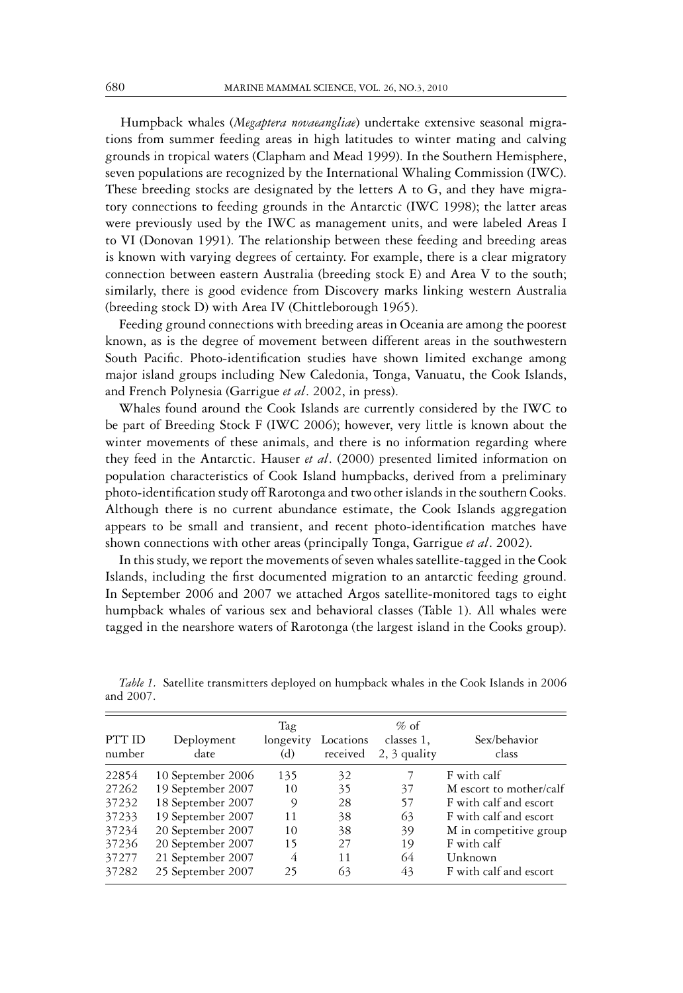Humpback whales (*Megaptera novaeangliae*) undertake extensive seasonal migrations from summer feeding areas in high latitudes to winter mating and calving grounds in tropical waters (Clapham and Mead 1999). In the Southern Hemisphere, seven populations are recognized by the International Whaling Commission (IWC). These breeding stocks are designated by the letters A to G, and they have migratory connections to feeding grounds in the Antarctic (IWC 1998); the latter areas were previously used by the IWC as management units, and were labeled Areas I to VI (Donovan 1991). The relationship between these feeding and breeding areas is known with varying degrees of certainty. For example, there is a clear migratory connection between eastern Australia (breeding stock E) and Area V to the south; similarly, there is good evidence from Discovery marks linking western Australia (breeding stock D) with Area IV (Chittleborough 1965).

Feeding ground connections with breeding areas in Oceania are among the poorest known, as is the degree of movement between different areas in the southwestern South Pacific. Photo-identification studies have shown limited exchange among major island groups including New Caledonia, Tonga, Vanuatu, the Cook Islands, and French Polynesia (Garrigue *et al*. 2002, in press).

Whales found around the Cook Islands are currently considered by the IWC to be part of Breeding Stock F (IWC 2006); however, very little is known about the winter movements of these animals, and there is no information regarding where they feed in the Antarctic. Hauser *et al*. (2000) presented limited information on population characteristics of Cook Island humpbacks, derived from a preliminary photo-identification study off Rarotonga and two other islands in the southern Cooks. Although there is no current abundance estimate, the Cook Islands aggregation appears to be small and transient, and recent photo-identification matches have shown connections with other areas (principally Tonga, Garrigue *et al*. 2002).

In this study, we report the movements of seven whales satellite-tagged in the Cook Islands, including the first documented migration to an antarctic feeding ground. In September 2006 and 2007 we attached Argos satellite-monitored tags to eight humpback whales of various sex and behavioral classes (Table 1). All whales were tagged in the nearshore waters of Rarotonga (the largest island in the Cooks group).

| PTT ID<br>number | Deployment<br>date | Tag<br>longevity<br>(d) | Locations<br>received | $%$ of<br>classes 1,<br>$2, 3$ quality | Sex/behavior<br>class   |
|------------------|--------------------|-------------------------|-----------------------|----------------------------------------|-------------------------|
| 22854            | 10 September 2006  | 135                     | 32                    |                                        | F with calf             |
| 27262            | 19 September 2007  | 10                      | 35                    | 37                                     | M escort to mother/calf |
| 37232            | 18 September 2007  | 9                       | 28                    | 57                                     | F with calf and escort  |
| 37233            | 19 September 2007  | 11                      | 38                    | 63                                     | F with calf and escort  |
| 37234            | 20 September 2007  | 10                      | 38                    | 39                                     | M in competitive group  |
| 37236            | 20 September 2007  | 15                      | 27                    | 19                                     | F with calf             |
| 37277            | 21 September 2007  | 4                       | 11                    | 64                                     | Unknown                 |
| 37282            | 25 September 2007  | 25                      | 63                    | 43                                     | F with calf and escort  |

*Table 1.* Satellite transmitters deployed on humpback whales in the Cook Islands in 2006 and 2007.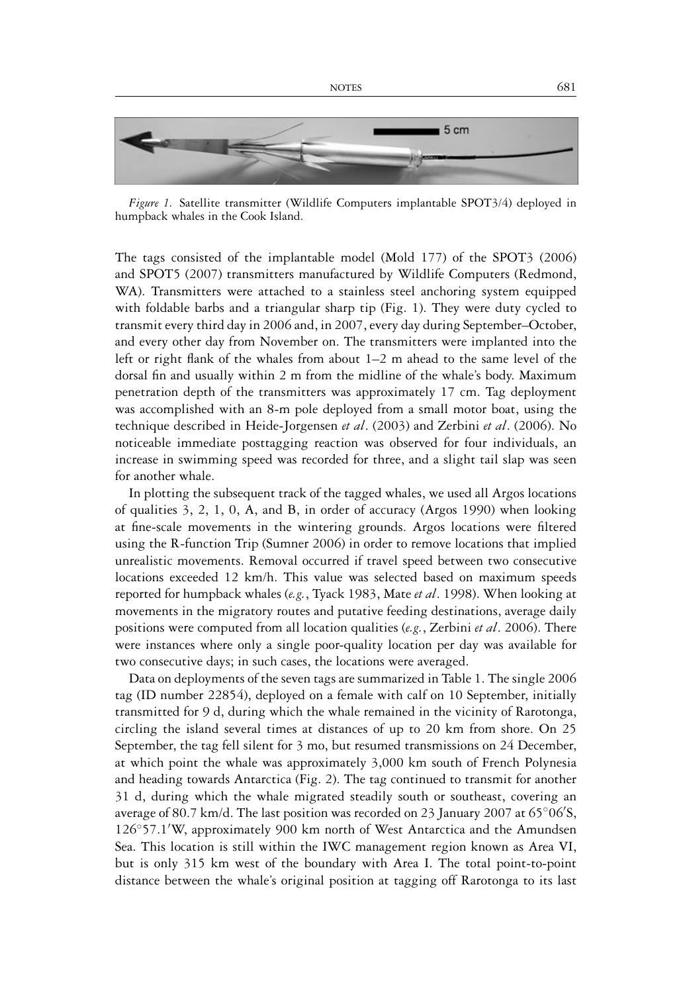

*Figure 1.* Satellite transmitter (Wildlife Computers implantable SPOT3/4) deployed in humpback whales in the Cook Island.

The tags consisted of the implantable model (Mold 177) of the SPOT3 (2006) and SPOT5 (2007) transmitters manufactured by Wildlife Computers (Redmond, WA). Transmitters were attached to a stainless steel anchoring system equipped with foldable barbs and a triangular sharp tip (Fig. 1). They were duty cycled to transmit every third day in 2006 and, in 2007, every day during September–October, and every other day from November on. The transmitters were implanted into the left or right flank of the whales from about 1–2 m ahead to the same level of the dorsal fin and usually within 2 m from the midline of the whale's body. Maximum penetration depth of the transmitters was approximately 17 cm. Tag deployment was accomplished with an 8-m pole deployed from a small motor boat, using the technique described in Heide-Jorgensen *et al*. (2003) and Zerbini *et al*. (2006). No noticeable immediate posttagging reaction was observed for four individuals, an increase in swimming speed was recorded for three, and a slight tail slap was seen for another whale.

In plotting the subsequent track of the tagged whales, we used all Argos locations of qualities 3, 2, 1, 0, A, and B, in order of accuracy (Argos 1990) when looking at fine-scale movements in the wintering grounds. Argos locations were filtered using the R-function Trip (Sumner 2006) in order to remove locations that implied unrealistic movements. Removal occurred if travel speed between two consecutive locations exceeded 12 km/h. This value was selected based on maximum speeds reported for humpback whales (*e.g.*, Tyack 1983, Mate *et al*. 1998). When looking at movements in the migratory routes and putative feeding destinations, average daily positions were computed from all location qualities (*e.g.*, Zerbini *et al*. 2006). There were instances where only a single poor-quality location per day was available for two consecutive days; in such cases, the locations were averaged.

Data on deployments of the seven tags are summarized in Table 1. The single 2006 tag (ID number 22854), deployed on a female with calf on 10 September, initially transmitted for 9 d, during which the whale remained in the vicinity of Rarotonga, circling the island several times at distances of up to 20 km from shore. On 25 September, the tag fell silent for 3 mo, but resumed transmissions on 24 December, at which point the whale was approximately 3,000 km south of French Polynesia and heading towards Antarctica (Fig. 2). The tag continued to transmit for another 31 d, during which the whale migrated steadily south or southeast, covering an average of 80.7 km/d. The last position was recorded on 23 January 2007 at 65°06′S, 126◦57.1 W, approximately 900 km north of West Antarctica and the Amundsen Sea. This location is still within the IWC management region known as Area VI, but is only 315 km west of the boundary with Area I. The total point-to-point distance between the whale's original position at tagging off Rarotonga to its last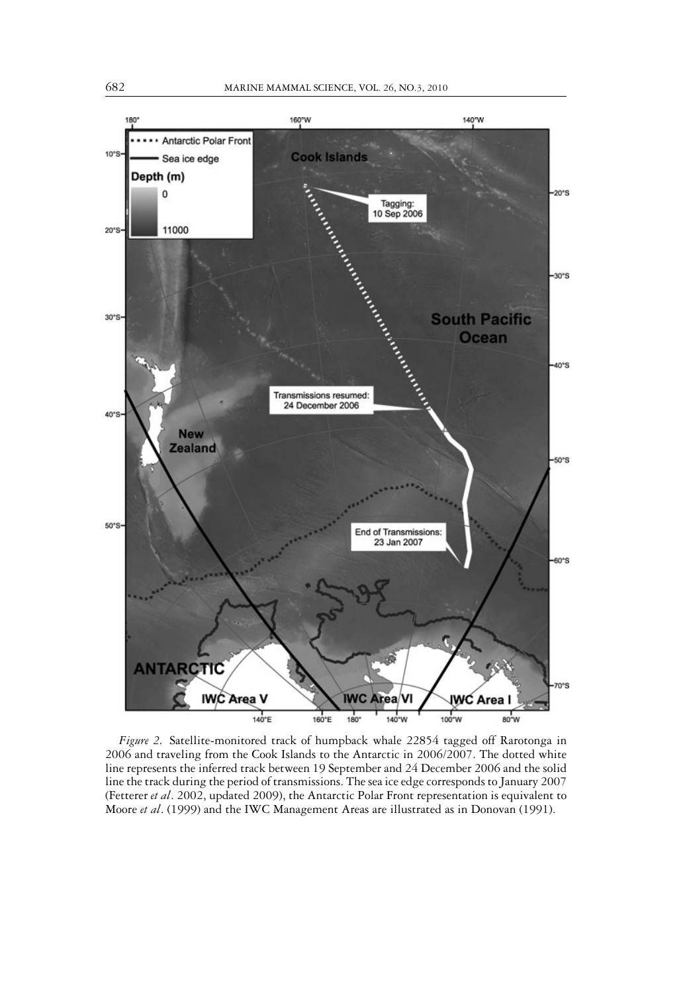

*Figure 2.* Satellite-monitored track of humpback whale 22854 tagged off Rarotonga in 2006 and traveling from the Cook Islands to the Antarctic in 2006/2007. The dotted white line represents the inferred track between 19 September and 24 December 2006 and the solid line the track during the period of transmissions. The sea ice edge corresponds to January 2007 (Fetterer *et al*. 2002, updated 2009), the Antarctic Polar Front representation is equivalent to Moore *et al*. (1999) and the IWC Management Areas are illustrated as in Donovan (1991).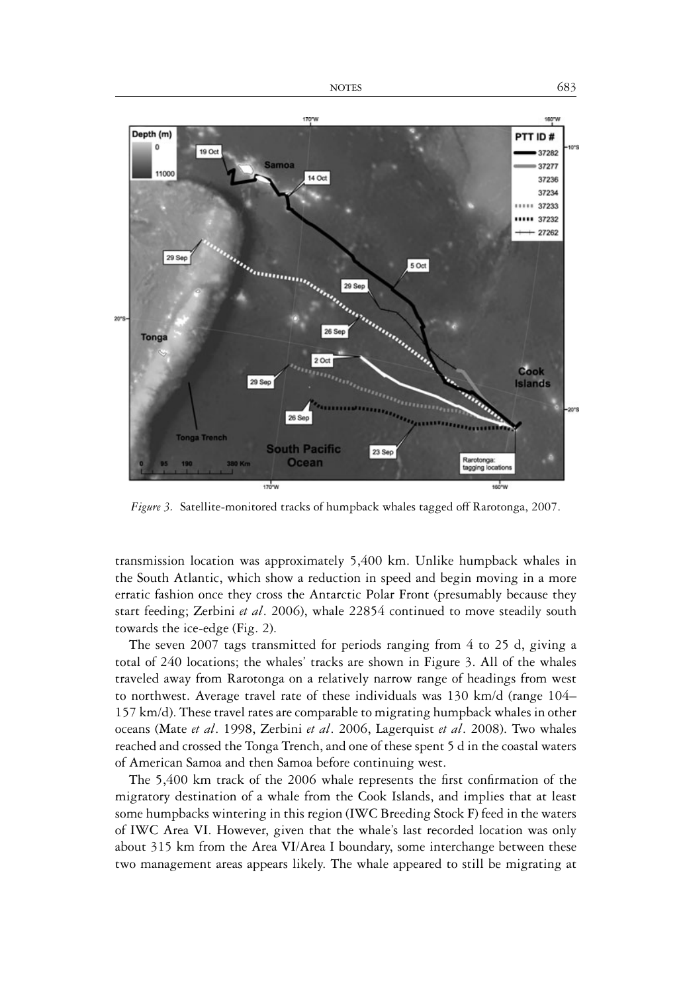

*Figure 3.* Satellite-monitored tracks of humpback whales tagged off Rarotonga, 2007.

transmission location was approximately 5,400 km. Unlike humpback whales in the South Atlantic, which show a reduction in speed and begin moving in a more erratic fashion once they cross the Antarctic Polar Front (presumably because they start feeding; Zerbini *et al*. 2006), whale 22854 continued to move steadily south towards the ice-edge (Fig. 2).

The seven 2007 tags transmitted for periods ranging from 4 to 25 d, giving a total of 240 locations; the whales' tracks are shown in Figure 3. All of the whales traveled away from Rarotonga on a relatively narrow range of headings from west to northwest. Average travel rate of these individuals was 130 km/d (range 104– 157 km/d). These travel rates are comparable to migrating humpback whales in other oceans (Mate *et al*. 1998, Zerbini *et al*. 2006, Lagerquist *et al*. 2008). Two whales reached and crossed the Tonga Trench, and one of these spent 5 d in the coastal waters of American Samoa and then Samoa before continuing west.

The 5,400 km track of the 2006 whale represents the first confirmation of the migratory destination of a whale from the Cook Islands, and implies that at least some humpbacks wintering in this region (IWC Breeding Stock F) feed in the waters of IWC Area VI. However, given that the whale's last recorded location was only about 315 km from the Area VI/Area I boundary, some interchange between these two management areas appears likely. The whale appeared to still be migrating at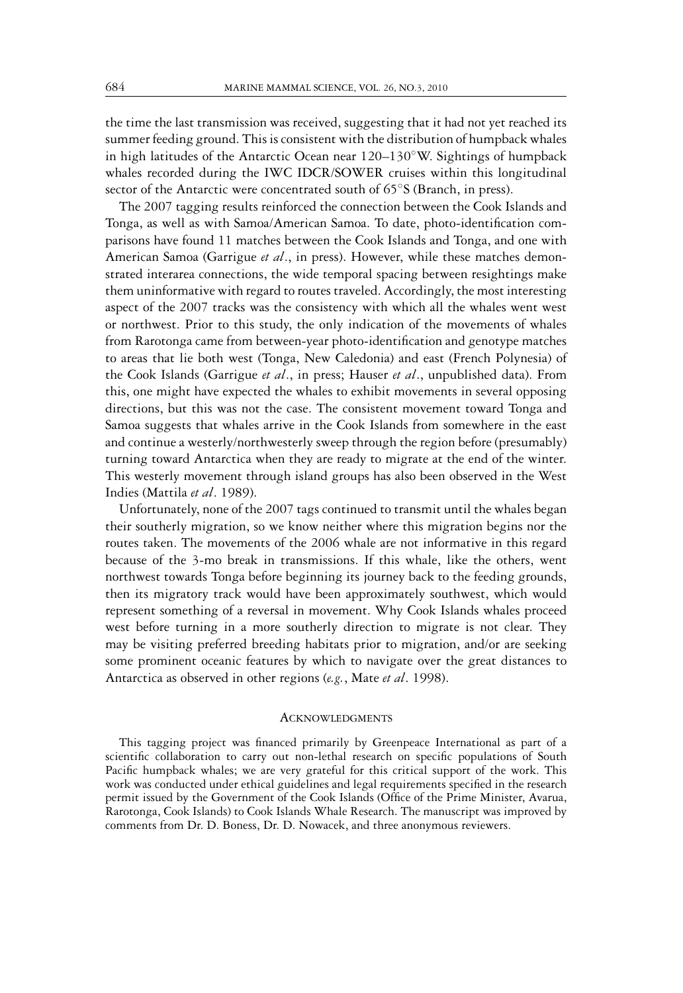the time the last transmission was received, suggesting that it had not yet reached its summer feeding ground. This is consistent with the distribution of humpback whales in high latitudes of the Antarctic Ocean near 120–130◦W. Sightings of humpback whales recorded during the IWC IDCR/SOWER cruises within this longitudinal sector of the Antarctic were concentrated south of 65°S (Branch, in press).

The 2007 tagging results reinforced the connection between the Cook Islands and Tonga, as well as with Samoa/American Samoa. To date, photo-identification comparisons have found 11 matches between the Cook Islands and Tonga, and one with American Samoa (Garrigue *et al*., in press). However, while these matches demonstrated interarea connections, the wide temporal spacing between resightings make them uninformative with regard to routes traveled. Accordingly, the most interesting aspect of the 2007 tracks was the consistency with which all the whales went west or northwest. Prior to this study, the only indication of the movements of whales from Rarotonga came from between-year photo-identification and genotype matches to areas that lie both west (Tonga, New Caledonia) and east (French Polynesia) of the Cook Islands (Garrigue *et al*., in press; Hauser *et al*., unpublished data). From this, one might have expected the whales to exhibit movements in several opposing directions, but this was not the case. The consistent movement toward Tonga and Samoa suggests that whales arrive in the Cook Islands from somewhere in the east and continue a westerly/northwesterly sweep through the region before (presumably) turning toward Antarctica when they are ready to migrate at the end of the winter. This westerly movement through island groups has also been observed in the West Indies (Mattila *et al*. 1989).

Unfortunately, none of the 2007 tags continued to transmit until the whales began their southerly migration, so we know neither where this migration begins nor the routes taken. The movements of the 2006 whale are not informative in this regard because of the 3-mo break in transmissions. If this whale, like the others, went northwest towards Tonga before beginning its journey back to the feeding grounds, then its migratory track would have been approximately southwest, which would represent something of a reversal in movement. Why Cook Islands whales proceed west before turning in a more southerly direction to migrate is not clear. They may be visiting preferred breeding habitats prior to migration, and/or are seeking some prominent oceanic features by which to navigate over the great distances to Antarctica as observed in other regions (*e.g.*, Mate *et al*. 1998).

## **ACKNOWLEDGMENTS**

This tagging project was financed primarily by Greenpeace International as part of a scientific collaboration to carry out non-lethal research on specific populations of South Pacific humpback whales; we are very grateful for this critical support of the work. This work was conducted under ethical guidelines and legal requirements specified in the research permit issued by the Government of the Cook Islands (Office of the Prime Minister, Avarua, Rarotonga, Cook Islands) to Cook Islands Whale Research. The manuscript was improved by comments from Dr. D. Boness, Dr. D. Nowacek, and three anonymous reviewers.